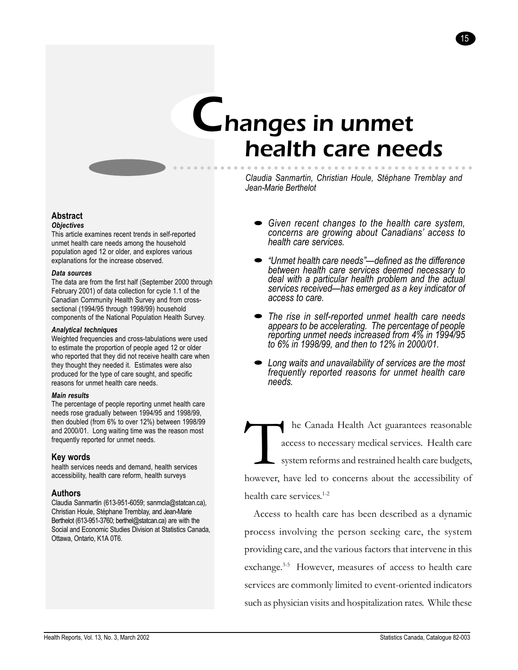# Changes in unmet health care needs

aaaaa aaaaaaaaaaaaaaaaaaaaaaaaaaaaaaaaaaaaaaaa



15

**Abstract**

## *Objectives*

This article examines recent trends in self-reported unmet health care needs among the household population aged 12 or older, and explores various explanations for the increase observed.

#### *Data sources*

The data are from the first half (September 2000 through February 2001) of data collection for cycle 1.1 of the Canadian Community Health Survey and from crosssectional (1994/95 through 1998/99) household components of the National Population Health Survey.

#### *Analytical techniques*

Weighted frequencies and cross-tabulations were used to estimate the proportion of people aged 12 or older who reported that they did not receive health care when they thought they needed it. Estimates were also produced for the type of care sought, and specific reasons for unmet health care needs.

#### *Main results*

The percentage of people reporting unmet health care needs rose gradually between 1994/95 and 1998/99, then doubled (from 6% to over 12%) between 1998/99 and 2000/01. Long waiting time was the reason most frequently reported for unmet needs.

## **Key words**

health services needs and demand, health services accessibility, health care reform, health surveys

### **Authors**

Claudia Sanmartin (613-951-6059; sanmcla@statcan.ca), Christian Houle, Stéphane Tremblay, and Jean-Marie Berthelot (613-951-3760; berthel@statcan.ca) are with the Social and Economic Studies Division at Statistics Canada, Ottawa, Ontario, K1A 0T6.

- *Given recent changes to the health care system, concerns are growing about Canadiansí access to health care services.*
- *ìUnmet health care needsîódefined as the difference between health care services deemed necessary to deal with a particular health problem and the actual* services received—has emerged as a key indicator of *access to care.*
- *The rise in self-reported unmet health care needs appears to be accelerating. The percentage of people reporting unmet needs increased from 4% in 1994/95 to 6% in 1998/99, and then to 12% in 2000/01.*
- *Long waits and unavailability of services are the most frequently reported reasons for unmet health care needs.*

The Canada Health Act guarantees reasonable<br>access to necessary medical services. Health care<br>system reforms and restrained health care budgets, access to necessary medical services. Health care system reforms and restrained health care budgets, however, have led to concerns about the accessibility of health care services.<sup>1-2</sup>

Access to health care has been described as a dynamic process involving the person seeking care, the system providing care, and the various factors that intervene in this exchange.<sup>3-5</sup> However, measures of access to health care services are commonly limited to event-oriented indicators such as physician visits and hospitalization rates. While these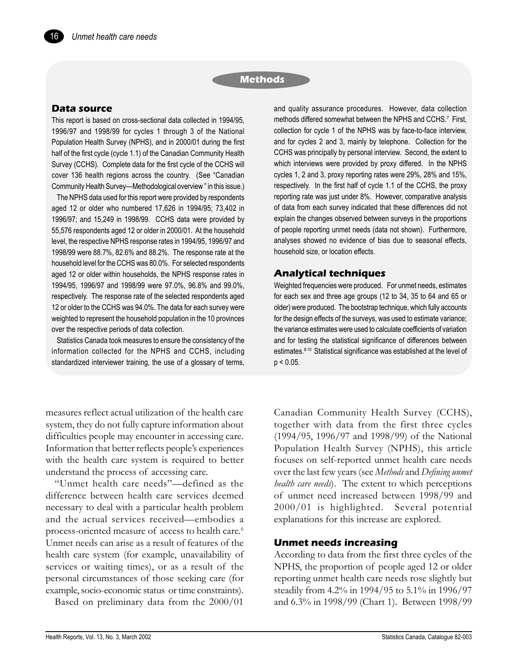## **Methods**

## **Data source**

16

This report is based on cross-sectional data collected in 1994/95, 1996/97 and 1998/99 for cycles 1 through 3 of the National Population Health Survey (NPHS), and in 2000/01 during the first half of the first cycle (cycle 1.1) of the Canadian Community Health Survey (CCHS). Complete data for the first cycle of the CCHS will cover 136 health regions across the country. (See "Canadian Community Health Survey—Methodological overview " in this issue.)

The NPHS data used for this report were provided by respondents aged 12 or older who numbered 17,626 in 1994/95; 73,402 in 1996/97; and 15,249 in 1998/99. CCHS data were provided by 55,576 respondents aged 12 or older in 2000/01. At the household level, the respective NPHS response rates in 1994/95, 1996/97 and 1998/99 were 88.7%, 82.6% and 88.2%. The response rate at the household level for the CCHS was 80.0%. For selected respondents aged 12 or older within households, the NPHS response rates in 1994/95, 1996/97 and 1998/99 were 97.0%, 96.8% and 99.0%, respectively. The response rate of the selected respondents aged 12 or older to the CCHS was 94.0%. The data for each survey were weighted to represent the household population in the 10 provinces over the respective periods of data collection.

Statistics Canada took measures to ensure the consistency of the information collected for the NPHS and CCHS, including standardized interviewer training, the use of a glossary of terms,

measures reflect actual utilization of the health care system, they do not fully capture information about difficulties people may encounter in accessing care. Information that better reflects people's experiences with the health care system is required to better understand the process of accessing care.

"Unmet health care needs"-defined as the difference between health care services deemed necessary to deal with a particular health problem and the actual services received—embodies a process-oriented measure of access to health care.<sup>6</sup> Unmet needs can arise as a result of features of the health care system (for example, unavailability of services or waiting times), or as a result of the personal circumstances of those seeking care (for example, socio-economic status or time constraints).

Based on preliminary data from the 2000/01

and quality assurance procedures. However, data collection methods differed somewhat between the NPHS and CCHS.<sup>7</sup> First, collection for cycle 1 of the NPHS was by face-to-face interview, and for cycles 2 and 3, mainly by telephone. Collection for the CCHS was principally by personal interview. Second, the extent to which interviews were provided by proxy differed. In the NPHS cycles 1, 2 and 3, proxy reporting rates were 29%, 28% and 15%, respectively. In the first half of cycle 1.1 of the CCHS, the proxy reporting rate was just under 8%. However, comparative analysis of data from each survey indicated that these differences did not explain the changes observed between surveys in the proportions of people reporting unmet needs (data not shown). Furthermore, analyses showed no evidence of bias due to seasonal effects, household size, or location effects.

## **Analytical techniques**

Weighted frequencies were produced. For unmet needs, estimates for each sex and three age groups (12 to 34, 35 to 64 and 65 or older) were produced. The bootstrap technique, which fully accounts for the design effects of the surveys, was used to estimate variance; the variance estimates were used to calculate coefficients of variation and for testing the statistical significance of differences between estimates.<sup>8-10</sup> Statistical significance was established at the level of  $p < 0.05$ .

Canadian Community Health Survey (CCHS), together with data from the first three cycles (1994/95, 1996/97 and 1998/99) of the National Population Health Survey (NPHS), this article focuses on self-reported unmet health care needs over the last few years (see *Methods* and *Defining unmet health care needs*). The extent to which perceptions of unmet need increased between 1998/99 and 2000/01 is highlighted. Several potential explanations for this increase are explored.

## **Unmet needs increasing**

According to data from the first three cycles of the NPHS, the proportion of people aged 12 or older reporting unmet health care needs rose slightly but steadily from 4.2% in 1994/95 to 5.1% in 1996/97 and 6.3% in 1998/99 (Chart 1). Between 1998/99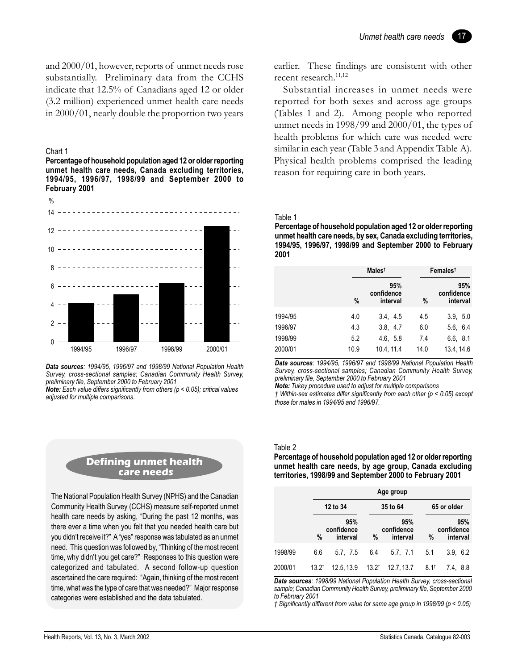17

and 2000/01, however, reports of unmet needs rose substantially. Preliminary data from the CCHS indicate that 12.5% of Canadians aged 12 or older (3.2 million) experienced unmet health care needs in 2000/01, nearly double the proportion two years

#### Chart 1

**Percentage of household population aged 12 or older reporting unmet health care needs, Canada excluding territories, 1994/95, 1996/97, 1998/99 and September 2000 to February 2001**



*Data sources: 1994/95, 1996/97 and 1998/99 National Population Health Survey, cross-sectional samples; Canadian Community Health Survey, preliminary file, September 2000 to February 2001*

*Note: Each value differs significantly from others (p < 0.05); critical values adjusted for multiple comparisons.*

## **Defining unmet health care needs**

The National Population Health Survey (NPHS) and the Canadian Community Health Survey (CCHS) measure self-reported unmet health care needs by asking, "During the past 12 months, was there ever a time when you felt that you needed health care but you didn't receive it?" A "yes" response was tabulated as an unmet need. This question was followed by, "Thinking of the most recent time, why didn't you get care?" Responses to this question were categorized and tabulated. A second follow-up question ascertained the care required: "Again, thinking of the most recent time, what was the type of care that was needed?" Major response categories were established and the data tabulated.

earlier. These findings are consistent with other recent research.11,12

Substantial increases in unmet needs were reported for both sexes and across age groups (Tables 1 and 2). Among people who reported unmet needs in 1998/99 and 2000/01, the types of health problems for which care was needed were similar in each year (Table 3 and Appendix Table A). Physical health problems comprised the leading reason for requiring care in both years.

#### Table 1

**Percentage of household population aged 12 or older reporting unmet health care needs, by sex, Canada excluding territories, 1994/95, 1996/97, 1998/99 and September 2000 to February 2001**

|         |      | Males <sup>t</sup>            |      | Females <sup>†</sup>          |  |  |
|---------|------|-------------------------------|------|-------------------------------|--|--|
|         | $\%$ | 95%<br>confidence<br>interval | %    | 95%<br>confidence<br>interval |  |  |
| 1994/95 | 4.0  | 3.4, 4.5                      | 4.5  | 3.9, 5.0                      |  |  |
| 1996/97 | 4.3  | 3.8, 4.7                      | 6.0  | 5.6, 6.4                      |  |  |
| 1998/99 | 5.2  | 4.6, 5.8                      | 7.4  | 6.6, 8.1                      |  |  |
| 2000/01 | 10.9 | 10.4.11.4                     | 14.0 | 13.4, 14.6                    |  |  |

*Data sources: 1994/95, 1996/97 and 1998/99 National Population Health Survey, cross-sectional samples; Canadian Community Health Survey, preliminary file, September 2000 to February 2001*

*Note: Tukey procedure used to adjust for multiple comparisons*

*Ü Within-sex estimates differ significantly from each other (p < 0.05) except those for males in 1994/95 and 1996/97.*

#### Table 2

**Percentage of household population aged 12 or older reporting unmet health care needs, by age group, Canada excluding territories, 1998/99 and September 2000 to February 2001**

|         |                  | Age group                     |          |                               |                 |                               |  |  |  |
|---------|------------------|-------------------------------|----------|-------------------------------|-----------------|-------------------------------|--|--|--|
|         |                  | 12 to 34                      | 35 to 64 |                               | 65 or older     |                               |  |  |  |
|         | %                | 95%<br>confidence<br>interval | %        | 95%<br>confidence<br>interval | %               | 95%<br>confidence<br>interval |  |  |  |
| 1998/99 | 6.6              | 5.7. 7.5                      | 6.4      | 5.7, 7.1                      | 5.1             | 3.9, 6.2                      |  |  |  |
| 2000/01 | $13.2^{\dagger}$ | 12.5, 13.9                    | $13.2^+$ | 12.7, 13.7                    | $8.1^{\dagger}$ | 7.4. 8.8                      |  |  |  |

*Data sources: 1998/99 National Population Health Survey, cross-sectional sample; Canadian Community Health Survey, preliminary file, September 2000 to February 2001*

*Ü Significantly different from value for same age group in 1998/99 (p < 0.05)*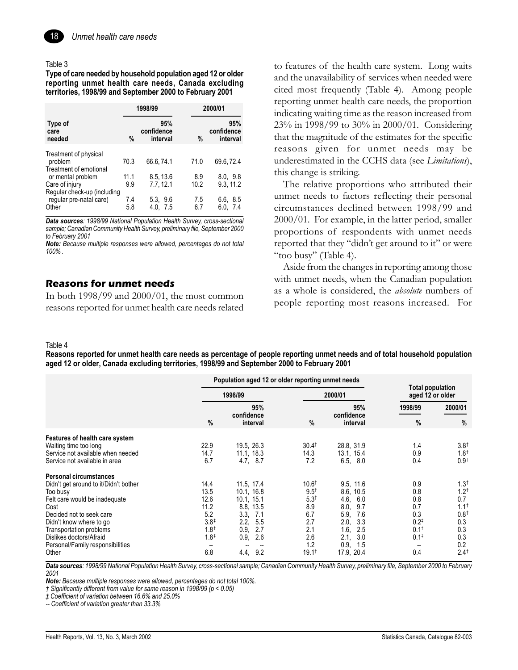

#### Table 3

Type of care needed by household population aged 12 or older reporting unmet health care needs, Canada excluding territories, 1998/99 and September 2000 to February 2001

|                                                                    | 1998/99     |                               |             | 2000/01                       |  |  |
|--------------------------------------------------------------------|-------------|-------------------------------|-------------|-------------------------------|--|--|
| Type of<br>care<br>needed                                          | $\%$        | 95%<br>confidence<br>interval | $\%$        | 95%<br>confidence<br>interval |  |  |
| Treatment of physical<br>problem<br>Treatment of emotional         | 70.3        | 66.6.74.1                     | 71.0        | 69.6, 72.4                    |  |  |
| or mental problem<br>Care of injury<br>Regular check-up (including | 11.1<br>9.9 | 8.5, 13.6<br>7.7.12.1         | 8.9<br>10.2 | 8.0, 9.8<br>9.3.11.2          |  |  |
| regular pre-natal care)<br>Other                                   | 7.4<br>5.8  | 5.3, 9.6<br>4.0, 7.5          | 7.5<br>6.7  | 6.6, 8.5<br>6.0, 7.4          |  |  |

Data sources: 1998/99 National Population Health Survey, cross-sectional sample; Canadian Community Health Survey, preliminary file, September 2000 to February 2001

Note: Because multiple responses were allowed, percentages do not total  $100\%$ .

## **Reasons for unmet needs**

In both  $1998/99$  and  $2000/01$ , the most common reasons reported for unmet health care needs related to features of the health care system. Long waits and the unavailability of services when needed were cited most frequently (Table 4). Among people reporting unmet health care needs, the proportion indicating waiting time as the reason increased from 23% in 1998/99 to 30% in 2000/01. Considering that the magnitude of the estimates for the specific reasons given for unmet needs may be underestimated in the CCHS data (see Limitations), this change is striking.

The relative proportions who attributed their unmet needs to factors reflecting their personal circumstances declined between 1998/99 and 2000/01. For example, in the latter period, smaller proportions of respondents with unmet needs reported that they "didn't get around to it" or were "too busy" (Table 4).

Aside from the changes in reporting among those with unmet needs, when the Canadian population as a whole is considered, the *absolute* numbers of people reporting most reasons increased. For

#### Table 4

Reasons reported for unmet health care needs as percentage of people reporting unmet needs and of total household population aged 12 or older, Canada excluding territories, 1998/99 and September 2000 to February 2001

|                                                                                                                                                                                                                                                                                       |                                                                                               | Population aged 12 or older reporting unmet needs                                                                               | <b>Total population</b><br>aged 12 or older                                                                          |                                                                                                                                               |                                                                                    |                                                                                                                        |
|---------------------------------------------------------------------------------------------------------------------------------------------------------------------------------------------------------------------------------------------------------------------------------------|-----------------------------------------------------------------------------------------------|---------------------------------------------------------------------------------------------------------------------------------|----------------------------------------------------------------------------------------------------------------------|-----------------------------------------------------------------------------------------------------------------------------------------------|------------------------------------------------------------------------------------|------------------------------------------------------------------------------------------------------------------------|
|                                                                                                                                                                                                                                                                                       | 1998/99                                                                                       |                                                                                                                                 |                                                                                                                      |                                                                                                                                               | 2000/01                                                                            |                                                                                                                        |
|                                                                                                                                                                                                                                                                                       | %                                                                                             | 95%<br>confidence<br>interval                                                                                                   | %                                                                                                                    | 95%<br>confidence<br>interval                                                                                                                 | 1998/99<br>%                                                                       | 2000/01<br>$\%$                                                                                                        |
| Features of health care system<br>Waiting time too long<br>Service not available when needed<br>Service not available in area                                                                                                                                                         | 22.9<br>14.7<br>6.7                                                                           | 19.5, 26.3<br>11.1, 18.3<br>4.7, 8.7                                                                                            | 30.4 <sup>†</sup><br>14.3<br>7.2                                                                                     | 28.8, 31.9<br>13.1, 15.4<br>6.5, 8.0                                                                                                          | 1.4<br>0.9<br>0.4                                                                  | $3.8^+$<br>$1.8^+$<br>0.9 <sup>†</sup>                                                                                 |
| <b>Personal circumstances</b><br>Didn't get around to it/Didn't bother<br>Too busy<br>Felt care would be inadequate<br>Cost<br>Decided not to seek care<br>Didn't know where to go<br>Transportation problems<br>Dislikes doctors/Afraid<br>Personal/Family responsibilities<br>Other | 14.4<br>13.5<br>12.6<br>11.2<br>5.2<br>$3.8^+$<br>$1.8^{\ddagger}$<br>$1.8^{\ddagger}$<br>6.8 | 11.5, 17.4<br>10.1, 16.8<br>10.1, 15.1<br>8.8, 13.5<br>3.3.<br>-7.1<br>2.2,<br>5.5<br>0.9.<br>2.7<br>0.9.<br>2.6<br>9.2<br>4.4. | $10.6^{\dagger}$<br>$9.5^{\dagger}$<br>$5.3^{\dagger}$<br>8.9<br>6.7<br>2.7<br>2.1<br>2.6<br>1.2<br>$19.1^{\dagger}$ | 9.5, 11.6<br>8.6, 10.5<br>4.6.<br>6.0<br>8.0,<br>9.7<br>5.9.<br>7.6<br>2.0.<br>3.3<br>1.6,<br>2.5<br>3.0<br>2.1.<br>0.9.<br>1.5<br>17.9, 20.4 | 0.9<br>0.8<br>0.8<br>0.7<br>0.3<br>$0.2^{*}$<br>$0.1^*$<br>$0.1^{\ddagger}$<br>0.4 | $1.3^{\dagger}$<br>$1.2^{\dagger}$<br>0.7<br>$1.1^{\dagger}$<br>$0.8^+$<br>0.3<br>0.3<br>0.3<br>0.2<br>$2.4^{\dagger}$ |

Data sources: 1998/99 National Population Health Survey, cross-sectional sample; Canadian Community Health Survey, preliminary file, September 2000 to February 2001

Note: Because multiple responses were allowed, percentages do not total 100%.

† Significantly different from value for same reason in 1998/99 ( $p < 0.05$ )

# Coefficient of variation between 16.6% and 25.0%

-- Coefficient of variation greater than 33.3%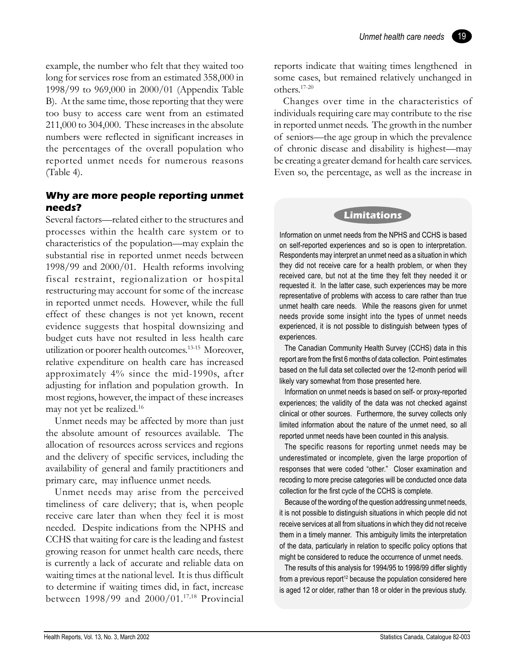19

example, the number who felt that they waited too long for services rose from an estimated 358,000 in 1998/99 to 969,000 in 2000/01 (Appendix Table B). At the same time, those reporting that they were too busy to access care went from an estimated 211,000 to 304,000. These increases in the absolute numbers were reflected in significant increases in the percentages of the overall population who reported unmet needs for numerous reasons (Table 4).

# **Why are more people reporting unmet needs?**

Several factors—related either to the structures and processes within the health care system or to characteristics of the population—may explain the substantial rise in reported unmet needs between 1998/99 and 2000/01. Health reforms involving fiscal restraint, regionalization or hospital restructuring may account for some of the increase in reported unmet needs. However, while the full effect of these changes is not yet known, recent evidence suggests that hospital downsizing and budget cuts have not resulted in less health care utilization or poorer health outcomes.13-15 Moreover, relative expenditure on health care has increased approximately 4% since the mid-1990s, after adjusting for inflation and population growth. In most regions, however, the impact of these increases may not yet be realized.16

Unmet needs may be affected by more than just the absolute amount of resources available. The allocation of resources across services and regions and the delivery of specific services, including the availability of general and family practitioners and primary care, may influence unmet needs.

Unmet needs may arise from the perceived timeliness of care delivery; that is, when people receive care later than when they feel it is most needed. Despite indications from the NPHS and CCHS that waiting for care is the leading and fastest growing reason for unmet health care needs, there is currently a lack of accurate and reliable data on waiting times at the national level. It is thus difficult to determine if waiting times did, in fact, increase between 1998/99 and 2000/01.17,18 Provincial reports indicate that waiting times lengthened in some cases, but remained relatively unchanged in others.17-20

Changes over time in the characteristics of individuals requiring care may contribute to the rise in reported unmet needs. The growth in the number of seniors—the age group in which the prevalence of chronic disease and disability is highest—may be creating a greater demand for health care services. Even so, the percentage, as well as the increase in

# **Limitations**

Information on unmet needs from the NPHS and CCHS is based on self-reported experiences and so is open to interpretation. Respondents may interpret an unmet need as a situation in which they did not receive care for a health problem, or when they received care, but not at the time they felt they needed it or requested it. In the latter case, such experiences may be more representative of problems with access to care rather than true unmet health care needs. While the reasons given for unmet needs provide some insight into the types of unmet needs experienced, it is not possible to distinguish between types of experiences.

The Canadian Community Health Survey (CCHS) data in this report are from the first 6 months of data collection. Point estimates based on the full data set collected over the 12-month period will likely vary somewhat from those presented here.

Information on unmet needs is based on self- or proxy-reported experiences; the validity of the data was not checked against clinical or other sources. Furthermore, the survey collects only limited information about the nature of the unmet need, so all reported unmet needs have been counted in this analysis.

The specific reasons for reporting unmet needs may be underestimated or incomplete, given the large proportion of responses that were coded "other." Closer examination and recoding to more precise categories will be conducted once data collection for the first cycle of the CCHS is complete.

Because of the wording of the question addressing unmet needs, it is not possible to distinguish situations in which people did not receive services at all from situations in which they did not receive them in a timely manner. This ambiguity limits the interpretation of the data, particularly in relation to specific policy options that might be considered to reduce the occurrence of unmet needs.

The results of this analysis for 1994/95 to 1998/99 differ slightly from a previous report<sup>12</sup> because the population considered here is aged 12 or older, rather than 18 or older in the previous study.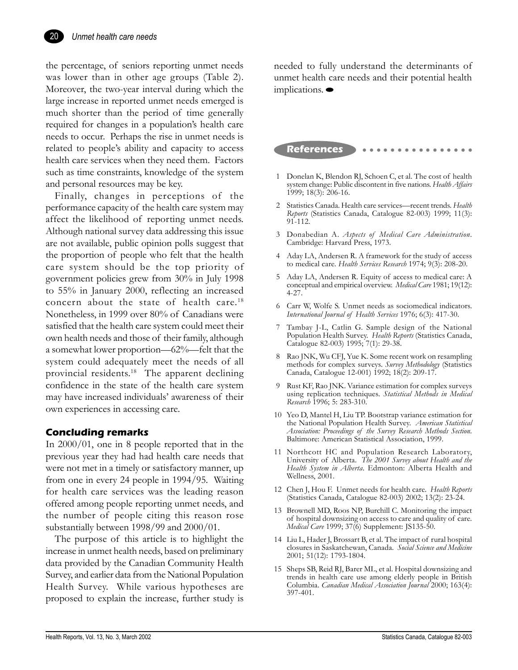

the percentage, of seniors reporting unmet needs was lower than in other age groups (Table 2). Moreover, the two-year interval during which the large increase in reported unmet needs emerged is much shorter than the period of time generally required for changes in a population's health care needs to occur. Perhaps the rise in unmet needs is related to people's ability and capacity to access health care services when they need them. Factors such as time constraints, knowledge of the system and personal resources may be key.

Finally, changes in perceptions of the performance capacity of the health care system may affect the likelihood of reporting unmet needs. Although national survey data addressing this issue are not available, public opinion polls suggest that the proportion of people who felt that the health care system should be the top priority of government policies grew from 30% in July 1998 to 55% in January 2000, reflecting an increased concern about the state of health care.<sup>18</sup> Nonetheless, in 1999 over 80% of Canadians were satisfied that the health care system could meet their own health needs and those of their family, although a somewhat lower proportion— $62\%$ —felt that the system could adequately meet the needs of all provincial residents.18 The apparent declining confidence in the state of the health care system may have increased individuals' awareness of their own experiences in accessing care.

# **Concluding remarks**

In 2000/01, one in 8 people reported that in the previous year they had had health care needs that were not met in a timely or satisfactory manner, up from one in every 24 people in 1994/95. Waiting for health care services was the leading reason offered among people reporting unmet needs, and the number of people citing this reason rose substantially between 1998/99 and 2000/01.

The purpose of this article is to highlight the increase in unmet health needs, based on preliminary data provided by the Canadian Community Health Survey, and earlier data from the National Population Health Survey. While various hypotheses are proposed to explain the increase, further study is

needed to fully understand the determinants of unmet health care needs and their potential health implications.

# **References**

- 1 Donelan K, Blendon RJ, Schoen C, et al. The cost of health system change: Public discontent in five nations. *Health Affairs* 1999; 18(3): 206-16.
- 2 Statistics Canada. Health care services—recent trends. *Health Reports* (Statistics Canada, Catalogue 82-003) 1999; 11(3): 91-112.
- 3 Donabedian A. *Aspects of Medical Care Administration*. Cambridge: Harvard Press, 1973.
- 4 Aday LA, Andersen R. A framework for the study of access to medical care. *Health Services Research* 1974; 9(3): 208-20.
- 5 Aday LA, Andersen R. Equity of access to medical care: A conceptual and empirical overview. *Medical Care* 1981; 19(12): 4-27.
- 6 Carr W, Wolfe S. Unmet needs as sociomedical indicators. *International Journal of Health Services* 1976; 6(3): 417-30.
- 7 Tambay J-L, Catlin G. Sample design of the National Population Health Survey. *Health Reports* (Statistics Canada, Catalogue 82-003) 1995; 7(1): 29-38.
- 8 Rao JNK, Wu CFJ, Yue K. Some recent work on resampling methods for complex surveys. *Survey Methodology* (Statistics Canada, Catalogue 12-001) 1992; 18(2): 209-17.
- 9 Rust KF, Rao JNK. Variance estimation for complex surveys using replication techniques. *Statistical Methods in Medical Research* 1996; 5: 283-310.
- 10 Yeo D, Mantel H, Liu TP. Bootstrap variance estimation for the National Population Health Survey. *American Statistical Association: Proceedings of the Survey Research Methods Section*. Baltimore: American Statistical Association, 1999.
- 11 Northcott HC and Population Research Laboratory, University of Alberta. *The 2001 Survey about Health and the Health System in Alberta*. Edmonton: Alberta Health and Wellness, 2001.
- 12 Chen J, Hou F. Unmet needs for health care. *Health Reports* (Statistics Canada, Catalogue 82-003) 2002; 13(2): 23-24.
- 13 Brownell MD, Roos NP, Burchill C. Monitoring the impact of hospital downsizing on access to care and quality of care. *Medical Care* 1999; 37(6) Supplement: JS135-50.
- 14 Liu L, Hader J, Brossart B, et al. The impact of rural hospital closures in Saskatchewan, Canada. *Social Science and Medicine* 2001; 51(12): 1793-1804.
- 15 Sheps SB, Reid RJ, Barer ML, et al. Hospital downsizing and trends in health care use among elderly people in British Columbia. *Canadian Medical Association Journal* 2000; 163(4): 397-401.